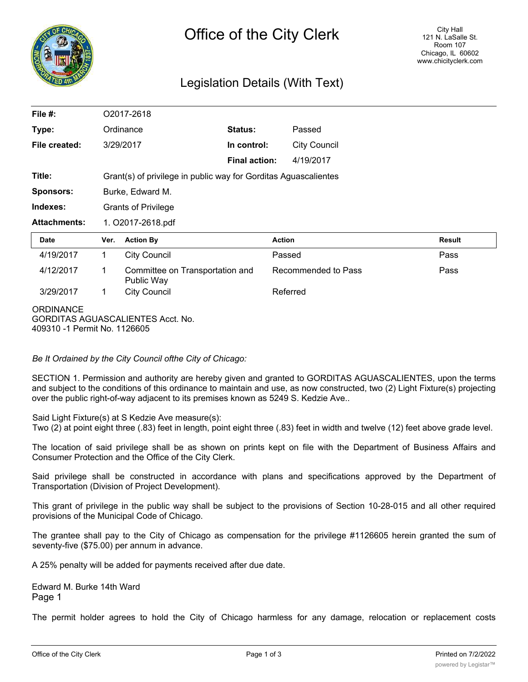

## Legislation Details (With Text)

| File #:             |                                                                 | O2017-2618                                    |                      |                     |               |
|---------------------|-----------------------------------------------------------------|-----------------------------------------------|----------------------|---------------------|---------------|
| Type:               |                                                                 | Ordinance                                     | <b>Status:</b>       | Passed              |               |
| File created:       |                                                                 | 3/29/2017                                     | In control:          | <b>City Council</b> |               |
|                     |                                                                 |                                               | <b>Final action:</b> | 4/19/2017           |               |
| Title:              | Grant(s) of privilege in public way for Gorditas Aguascalientes |                                               |                      |                     |               |
| <b>Sponsors:</b>    | Burke, Edward M.                                                |                                               |                      |                     |               |
| Indexes:            | <b>Grants of Privilege</b>                                      |                                               |                      |                     |               |
| <b>Attachments:</b> | 1. O2017-2618.pdf                                               |                                               |                      |                     |               |
|                     |                                                                 |                                               |                      |                     |               |
| <b>Date</b>         | Ver.                                                            | <b>Action By</b>                              | <b>Action</b>        |                     | <b>Result</b> |
| 4/19/2017           | $\mathbf 1$                                                     | <b>City Council</b>                           | Passed               |                     | Pass          |
| 4/12/2017           | 1                                                               | Committee on Transportation and<br>Public Way |                      | Recommended to Pass | Pass          |
| 3/29/2017           | $\mathbf 1$                                                     | <b>City Council</b>                           | Referred             |                     |               |

*Be It Ordained by the City Council ofthe City of Chicago:*

SECTION 1. Permission and authority are hereby given and granted to GORDITAS AGUASCALIENTES, upon the terms and subject to the conditions of this ordinance to maintain and use, as now constructed, two (2) Light Fixture(s) projecting over the public right-of-way adjacent to its premises known as 5249 S. Kedzie Ave..

Said Light Fixture(s) at S Kedzie Ave measure(s):

Two (2) at point eight three (.83) feet in length, point eight three (.83) feet in width and twelve (12) feet above grade level.

The location of said privilege shall be as shown on prints kept on file with the Department of Business Affairs and Consumer Protection and the Office of the City Clerk.

Said privilege shall be constructed in accordance with plans and specifications approved by the Department of Transportation (Division of Project Development).

This grant of privilege in the public way shall be subject to the provisions of Section 10-28-015 and all other required provisions of the Municipal Code of Chicago.

The grantee shall pay to the City of Chicago as compensation for the privilege #1126605 herein granted the sum of seventy-five (\$75.00) per annum in advance.

A 25% penalty will be added for payments received after due date.

Edward M. Burke 14th Ward Page 1

The permit holder agrees to hold the City of Chicago harmless for any damage, relocation or replacement costs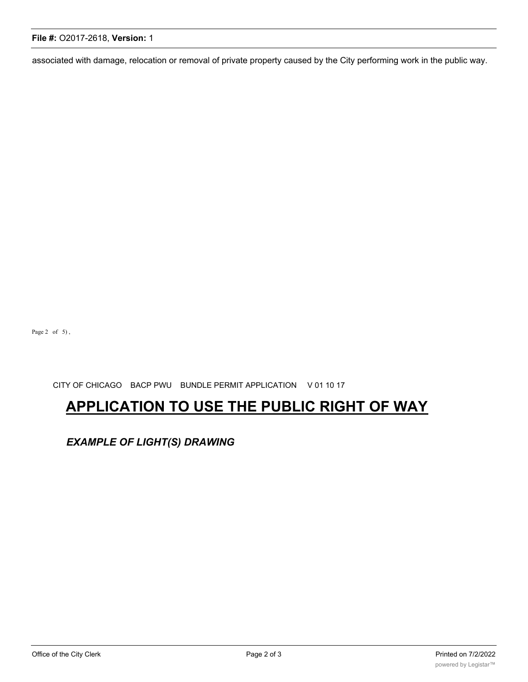# **File #:** O2017-2618, **Version:** 1

associated with damage, relocation or removal of private property caused by the City performing work in the public way.

Page  $2$  of  $5)$ ,

CITY OF CHICAGO BACP PWU BUNDLE PERMIT APPLICATION V 01 10 17

# **APPLICATION TO USE THE PUBLIC RIGHT OF WAY**

*EXAMPLE OF LIGHT(S) DRAWING*